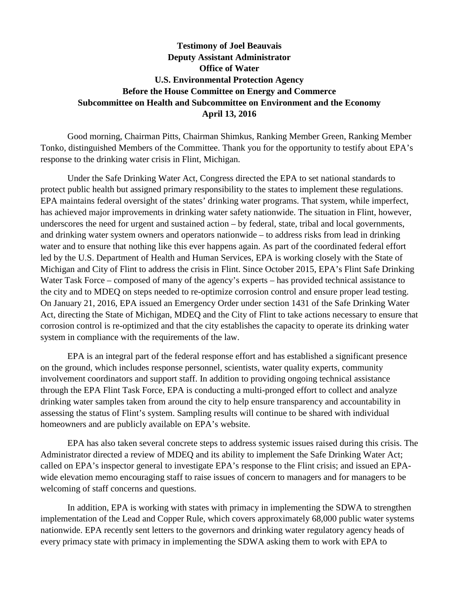## **Testimony of Joel Beauvais Deputy Assistant Administrator Office of Water U.S. Environmental Protection Agency Before the House Committee on Energy and Commerce Subcommittee on Health and Subcommittee on Environment and the Economy April 13, 2016**

Good morning, Chairman Pitts, Chairman Shimkus, Ranking Member Green, Ranking Member Tonko, distinguished Members of the Committee. Thank you for the opportunity to testify about EPA's response to the drinking water crisis in Flint, Michigan.

Under the Safe Drinking Water Act, Congress directed the EPA to set national standards to protect public health but assigned primary responsibility to the states to implement these regulations. EPA maintains federal oversight of the states' drinking water programs. That system, while imperfect, has achieved major improvements in drinking water safety nationwide. The situation in Flint, however, underscores the need for urgent and sustained action – by federal, state, tribal and local governments, and drinking water system owners and operators nationwide – to address risks from lead in drinking water and to ensure that nothing like this ever happens again. As part of the coordinated federal effort led by the U.S. Department of Health and Human Services, EPA is working closely with the State of Michigan and City of Flint to address the crisis in Flint. Since October 2015, EPA's Flint Safe Drinking Water Task Force – composed of many of the agency's experts – has provided technical assistance to the city and to MDEQ on steps needed to re-optimize corrosion control and ensure proper lead testing. On January 21, 2016, EPA issued an Emergency Order under section 1431 of the Safe Drinking Water Act, directing the State of Michigan, MDEQ and the City of Flint to take actions necessary to ensure that corrosion control is re-optimized and that the city establishes the capacity to operate its drinking water system in compliance with the requirements of the law.

EPA is an integral part of the federal response effort and has established a significant presence on the ground, which includes response personnel, scientists, water quality experts, community involvement coordinators and support staff. In addition to providing ongoing technical assistance through the EPA Flint Task Force, EPA is conducting a multi-pronged effort to collect and analyze drinking water samples taken from around the city to help ensure transparency and accountability in assessing the status of Flint's system. Sampling results will continue to be shared with individual homeowners and are publicly available on EPA's website.

EPA has also taken several concrete steps to address systemic issues raised during this crisis. The Administrator directed a review of MDEQ and its ability to implement the Safe Drinking Water Act; called on EPA's inspector general to investigate EPA's response to the Flint crisis; and issued an EPAwide elevation memo encouraging staff to raise issues of concern to managers and for managers to be welcoming of staff concerns and questions.

In addition, EPA is working with states with primacy in implementing the SDWA to strengthen implementation of the Lead and Copper Rule, which covers approximately 68,000 public water systems nationwide. EPA recently sent letters to the governors and drinking water regulatory agency heads of every primacy state with primacy in implementing the SDWA asking them to work with EPA to